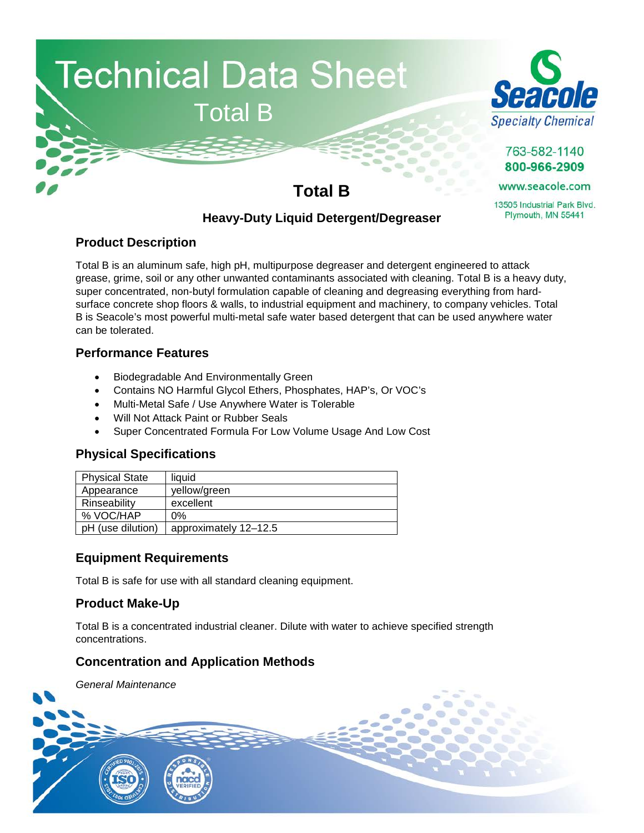



763-582-1140 800-966-2909

www.seacole.com

13505 Industrial Park Blvd. Plymouth, MN 55441

# **Total B**

# **Heavy-Duty Liquid Detergent/Degreaser**

# **Product Description**

Total B is an aluminum safe, high pH, multipurpose degreaser and detergent engineered to attack grease, grime, soil or any other unwanted contaminants associated with cleaning. Total B is a heavy duty, super concentrated, non-butyl formulation capable of cleaning and degreasing everything from hardsurface concrete shop floors & walls, to industrial equipment and machinery, to company vehicles. Total B is Seacole's most powerful multi-metal safe water based detergent that can be used anywhere water can be tolerated.

# **Performance Features**

- Biodegradable And Environmentally Green
- Contains NO Harmful Glycol Ethers, Phosphates, HAP's, Or VOC's
- Multi-Metal Safe / Use Anywhere Water is Tolerable
- Will Not Attack Paint or Rubber Seals
- Super Concentrated Formula For Low Volume Usage And Low Cost

# **Physical Specifications**

| <b>Physical State</b> | liauid                |
|-----------------------|-----------------------|
| Appearance            | yellow/green          |
| Rinseability          | excellent             |
| % VOC/HAP             | 0%                    |
| pH (use dilution)     | approximately 12-12.5 |

# **Equipment Requirements**

Total B is safe for use with all standard cleaning equipment.

# **Product Make-Up**

Total B is a concentrated industrial cleaner. Dilute with water to achieve specified strength concentrations.

# **Concentration and Application Methods**

*General Maintenance*